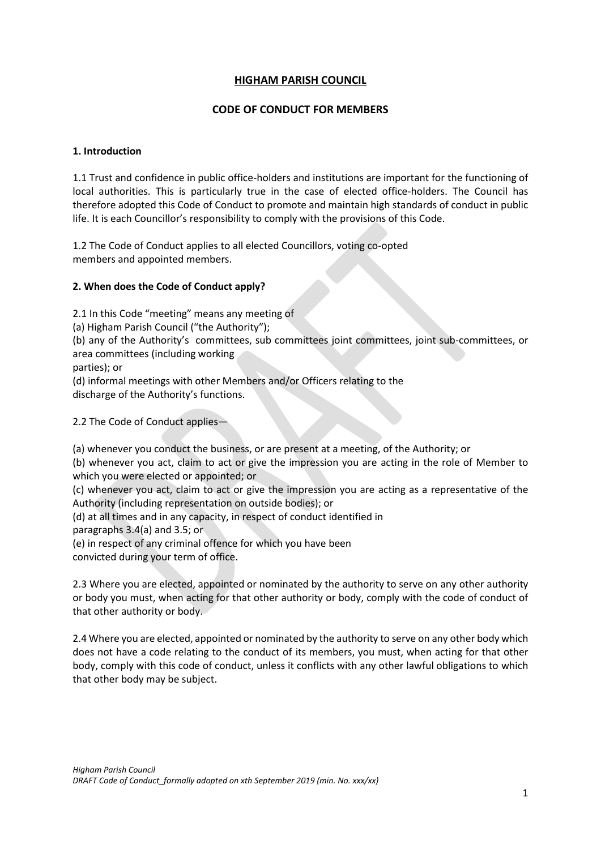# **HIGHAM PARISH COUNCIL**

# **CODE OF CONDUCT FOR MEMBERS**

## **1. Introduction**

1.1 Trust and confidence in public office-holders and institutions are important for the functioning of local authorities. This is particularly true in the case of elected office-holders. The Council has therefore adopted this Code of Conduct to promote and maintain high standards of conduct in public life. It is each Councillor's responsibility to comply with the provisions of this Code.

1.2 The Code of Conduct applies to all elected Councillors, voting co-opted members and appointed members.

## **2. When does the Code of Conduct apply?**

2.1 In this Code "meeting" means any meeting of

(a) Higham Parish Council ("the Authority");

(b) any of the Authority's committees, sub committees joint committees, joint sub-committees, or area committees (including working

parties); or

(d) informal meetings with other Members and/or Officers relating to the discharge of the Authority's functions.

## 2.2 The Code of Conduct applies—

(a) whenever you conduct the business, or are present at a meeting, of the Authority; or

(b) whenever you act, claim to act or give the impression you are acting in the role of Member to which you were elected or appointed; or

(c) whenever you act, claim to act or give the impression you are acting as a representative of the Authority (including representation on outside bodies); or

(d) at all times and in any capacity, in respect of conduct identified in

paragraphs 3.4(a) and 3.5; or

(e) in respect of any criminal offence for which you have been

convicted during your term of office.

2.3 Where you are elected, appointed or nominated by the authority to serve on any other authority or body you must, when acting for that other authority or body, comply with the code of conduct of that other authority or body.

2.4 Where you are elected, appointed or nominated by the authority to serve on any other body which does not have a code relating to the conduct of its members, you must, when acting for that other body, comply with this code of conduct, unless it conflicts with any other lawful obligations to which that other body may be subject.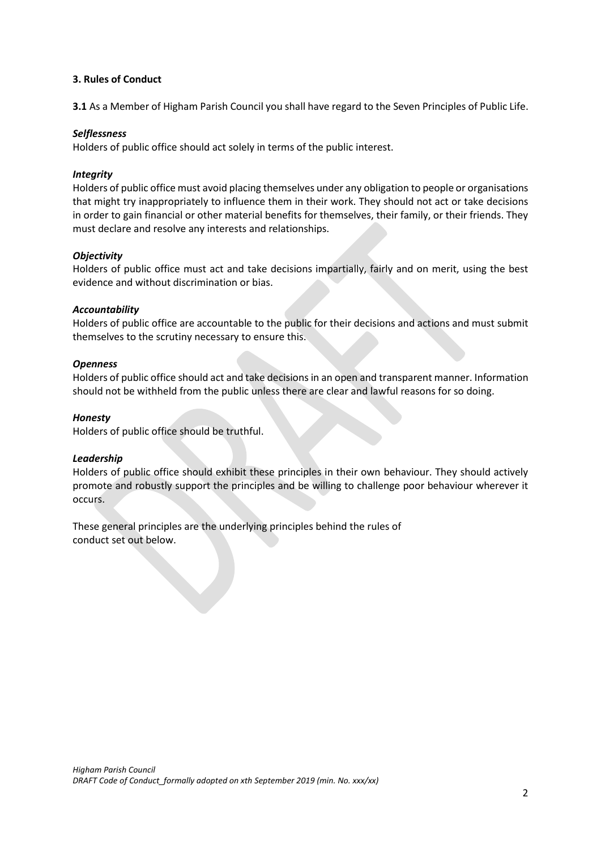#### **3. Rules of Conduct**

**3.1** As a Member of Higham Parish Council you shall have regard to the Seven Principles of Public Life.

## *Selflessness*

Holders of public office should act solely in terms of the public interest.

## *Integrity*

Holders of public office must avoid placing themselves under any obligation to people or organisations that might try inappropriately to influence them in their work. They should not act or take decisions in order to gain financial or other material benefits for themselves, their family, or their friends. They must declare and resolve any interests and relationships.

## *Objectivity*

Holders of public office must act and take decisions impartially, fairly and on merit, using the best evidence and without discrimination or bias.

## *Accountability*

Holders of public office are accountable to the public for their decisions and actions and must submit themselves to the scrutiny necessary to ensure this.

## *Openness*

Holders of public office should act and take decisions in an open and transparent manner. Information should not be withheld from the public unless there are clear and lawful reasons for so doing.

## *Honesty*

Holders of public office should be truthful.

#### *Leadership*

Holders of public office should exhibit these principles in their own behaviour. They should actively promote and robustly support the principles and be willing to challenge poor behaviour wherever it occurs.

These general principles are the underlying principles behind the rules of conduct set out below.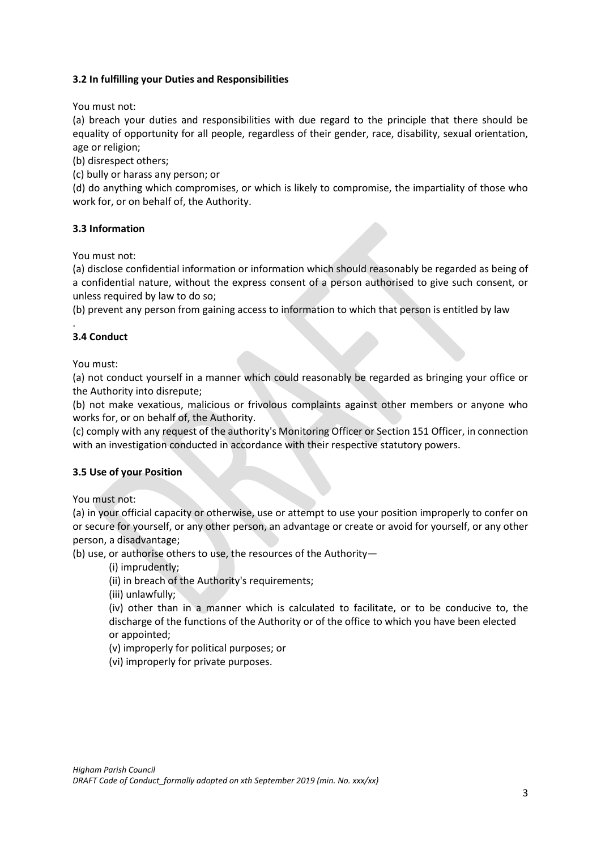## **3.2 In fulfilling your Duties and Responsibilities**

You must not:

(a) breach your duties and responsibilities with due regard to the principle that there should be equality of opportunity for all people, regardless of their gender, race, disability, sexual orientation, age or religion;

(b) disrespect others;

(c) bully or harass any person; or

(d) do anything which compromises, or which is likely to compromise, the impartiality of those who work for, or on behalf of, the Authority.

## **3.3 Information**

You must not:

(a) disclose confidential information or information which should reasonably be regarded as being of a confidential nature, without the express consent of a person authorised to give such consent, or unless required by law to do so;

(b) prevent any person from gaining access to information to which that person is entitled by law

#### . **3.4 Conduct**

You must:

(a) not conduct yourself in a manner which could reasonably be regarded as bringing your office or the Authority into disrepute;

(b) not make vexatious, malicious or frivolous complaints against other members or anyone who works for, or on behalf of, the Authority.

(c) comply with any request of the authority's Monitoring Officer or Section 151 Officer, in connection with an investigation conducted in accordance with their respective statutory powers.

#### **3.5 Use of your Position**

You must not:

(a) in your official capacity or otherwise, use or attempt to use your position improperly to confer on or secure for yourself, or any other person, an advantage or create or avoid for yourself, or any other person, a disadvantage;

(b) use, or authorise others to use, the resources of the Authority—

(i) imprudently;

(ii) in breach of the Authority's requirements;

(iii) unlawfully;

(iv) other than in a manner which is calculated to facilitate, or to be conducive to, the discharge of the functions of the Authority or of the office to which you have been elected or appointed;

(v) improperly for political purposes; or

(vi) improperly for private purposes.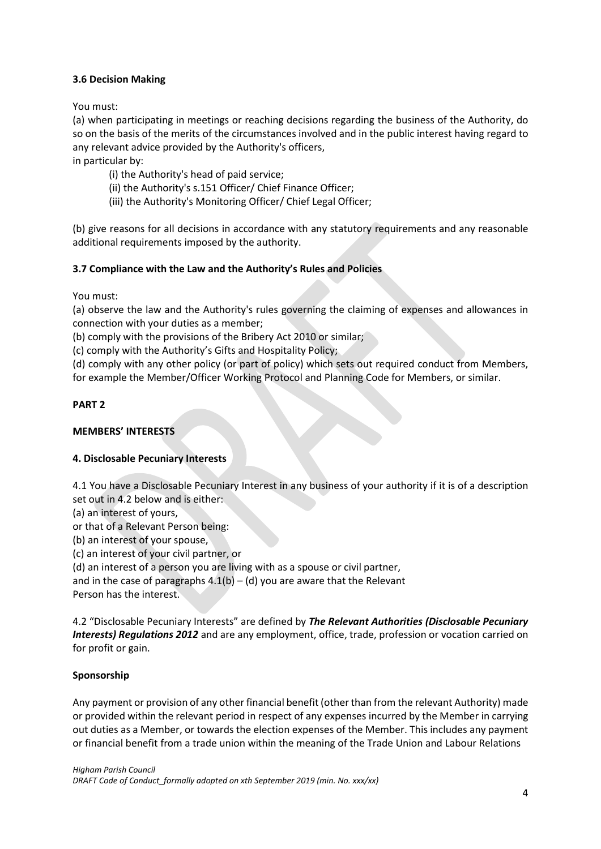## **3.6 Decision Making**

You must:

(a) when participating in meetings or reaching decisions regarding the business of the Authority, do so on the basis of the merits of the circumstances involved and in the public interest having regard to any relevant advice provided by the Authority's officers, in particular by:

- (i) the Authority's head of paid service;
- (ii) the Authority's s.151 Officer/ Chief Finance Officer;
- (iii) the Authority's Monitoring Officer/ Chief Legal Officer;

(b) give reasons for all decisions in accordance with any statutory requirements and any reasonable additional requirements imposed by the authority.

# **3.7 Compliance with the Law and the Authority's Rules and Policies**

You must:

(a) observe the law and the Authority's rules governing the claiming of expenses and allowances in connection with your duties as a member;

(b) comply with the provisions of the Bribery Act 2010 or similar;

(c) comply with the Authority's Gifts and Hospitality Policy;

(d) comply with any other policy (or part of policy) which sets out required conduct from Members, for example the Member/Officer Working Protocol and Planning Code for Members, or similar.

## **PART 2**

## **MEMBERS' INTERESTS**

## **4. Disclosable Pecuniary Interests**

4.1 You have a Disclosable Pecuniary Interest in any business of your authority if it is of a description set out in 4.2 below and is either:

(a) an interest of yours,

or that of a Relevant Person being:

(b) an interest of your spouse,

(c) an interest of your civil partner, or

(d) an interest of a person you are living with as a spouse or civil partner,

and in the case of paragraphs  $4.1(b) - (d)$  you are aware that the Relevant Person has the interest.

4.2 "Disclosable Pecuniary Interests" are defined by *The Relevant Authorities (Disclosable Pecuniary Interests) Regulations 2012* and are any employment, office, trade, profession or vocation carried on for profit or gain.

## **Sponsorship**

Any payment or provision of any other financial benefit (other than from the relevant Authority) made or provided within the relevant period in respect of any expenses incurred by the Member in carrying out duties as a Member, or towards the election expenses of the Member. This includes any payment or financial benefit from a trade union within the meaning of the Trade Union and Labour Relations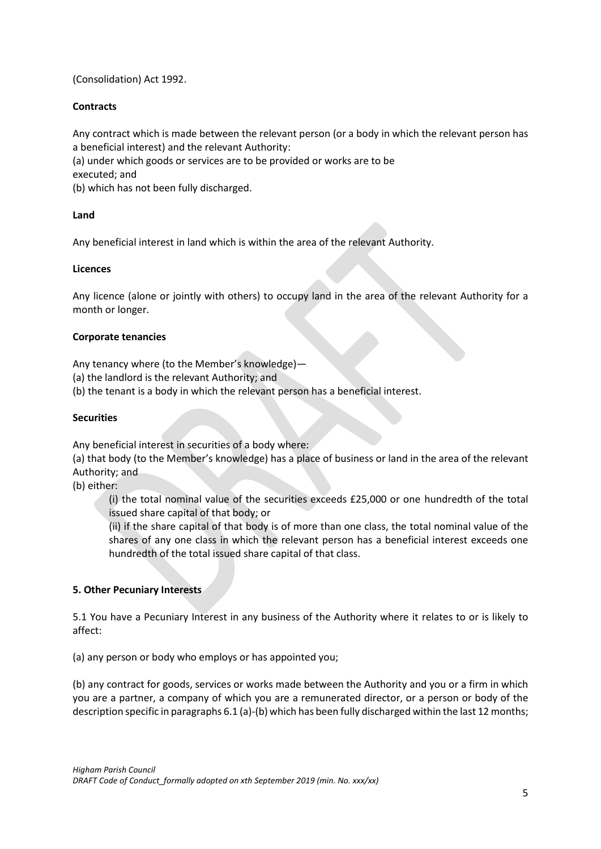(Consolidation) Act 1992.

## **Contracts**

Any contract which is made between the relevant person (or a body in which the relevant person has a beneficial interest) and the relevant Authority:

(a) under which goods or services are to be provided or works are to be executed; and

(b) which has not been fully discharged.

## **Land**

Any beneficial interest in land which is within the area of the relevant Authority.

## **Licences**

Any licence (alone or jointly with others) to occupy land in the area of the relevant Authority for a month or longer.

## **Corporate tenancies**

Any tenancy where (to the Member's knowledge)—

- (a) the landlord is the relevant Authority; and
- (b) the tenant is a body in which the relevant person has a beneficial interest.

#### **Securities**

Any beneficial interest in securities of a body where:

(a) that body (to the Member's knowledge) has a place of business or land in the area of the relevant Authority; and

(b) either:

(i) the total nominal value of the securities exceeds £25,000 or one hundredth of the total issued share capital of that body; or

(ii) if the share capital of that body is of more than one class, the total nominal value of the shares of any one class in which the relevant person has a beneficial interest exceeds one hundredth of the total issued share capital of that class.

## **5. Other Pecuniary Interests**

5.1 You have a Pecuniary Interest in any business of the Authority where it relates to or is likely to affect:

(a) any person or body who employs or has appointed you;

(b) any contract for goods, services or works made between the Authority and you or a firm in which you are a partner, a company of which you are a remunerated director, or a person or body of the description specific in paragraphs 6.1 (a)-(b) which has been fully discharged within the last 12 months;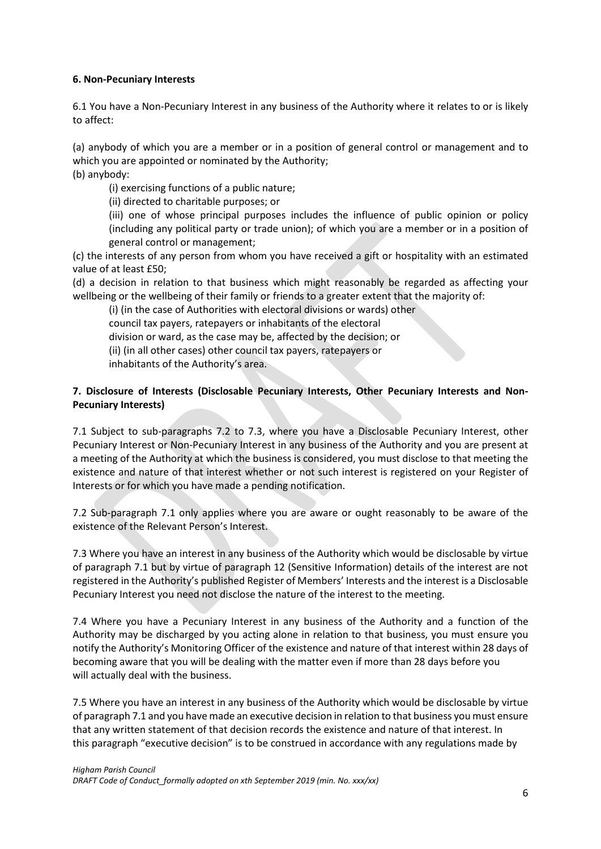## **6. Non-Pecuniary Interests**

6.1 You have a Non-Pecuniary Interest in any business of the Authority where it relates to or is likely to affect:

(a) anybody of which you are a member or in a position of general control or management and to which you are appointed or nominated by the Authority; (b) anybody:

(i) exercising functions of a public nature;

(ii) directed to charitable purposes; or

(iii) one of whose principal purposes includes the influence of public opinion or policy (including any political party or trade union); of which you are a member or in a position of general control or management;

(c) the interests of any person from whom you have received a gift or hospitality with an estimated value of at least £50;

(d) a decision in relation to that business which might reasonably be regarded as affecting your wellbeing or the wellbeing of their family or friends to a greater extent that the majority of:

(i) (in the case of Authorities with electoral divisions or wards) other council tax payers, ratepayers or inhabitants of the electoral division or ward, as the case may be, affected by the decision; or (ii) (in all other cases) other council tax payers, ratepayers or inhabitants of the Authority's area.

# **7. Disclosure of Interests (Disclosable Pecuniary Interests, Other Pecuniary Interests and Non-Pecuniary Interests)**

7.1 Subject to sub-paragraphs 7.2 to 7.3, where you have a Disclosable Pecuniary Interest, other Pecuniary Interest or Non-Pecuniary Interest in any business of the Authority and you are present at a meeting of the Authority at which the business is considered, you must disclose to that meeting the existence and nature of that interest whether or not such interest is registered on your Register of Interests or for which you have made a pending notification.

7.2 Sub-paragraph 7.1 only applies where you are aware or ought reasonably to be aware of the existence of the Relevant Person's Interest.

7.3 Where you have an interest in any business of the Authority which would be disclosable by virtue of paragraph 7.1 but by virtue of paragraph 12 (Sensitive Information) details of the interest are not registered in the Authority's published Register of Members' Interests and the interest is a Disclosable Pecuniary Interest you need not disclose the nature of the interest to the meeting.

7.4 Where you have a Pecuniary Interest in any business of the Authority and a function of the Authority may be discharged by you acting alone in relation to that business, you must ensure you notify the Authority's Monitoring Officer of the existence and nature of that interest within 28 days of becoming aware that you will be dealing with the matter even if more than 28 days before you will actually deal with the business.

7.5 Where you have an interest in any business of the Authority which would be disclosable by virtue of paragraph 7.1 and you have made an executive decision in relation to that business you must ensure that any written statement of that decision records the existence and nature of that interest. In this paragraph "executive decision" is to be construed in accordance with any regulations made by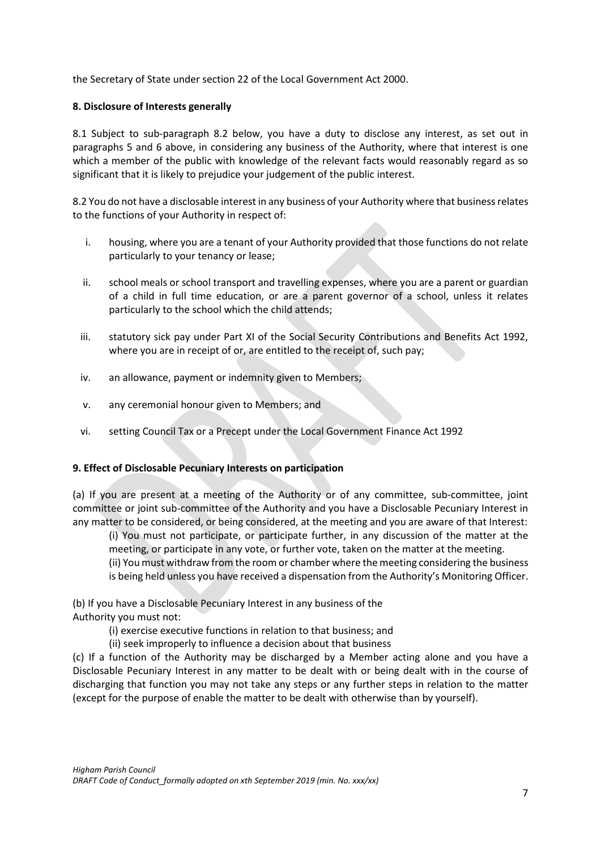the Secretary of State under section 22 of the Local Government Act 2000.

## **8. Disclosure of Interests generally**

8.1 Subject to sub-paragraph 8.2 below, you have a duty to disclose any interest, as set out in paragraphs 5 and 6 above, in considering any business of the Authority, where that interest is one which a member of the public with knowledge of the relevant facts would reasonably regard as so significant that it is likely to prejudice your judgement of the public interest.

8.2 You do not have a disclosable interest in any business of your Authority where that business relates to the functions of your Authority in respect of:

- i. housing, where you are a tenant of your Authority provided that those functions do not relate particularly to your tenancy or lease;
- ii. school meals or school transport and travelling expenses, where you are a parent or guardian of a child in full time education, or are a parent governor of a school, unless it relates particularly to the school which the child attends;
- iii. statutory sick pay under Part XI of the Social Security Contributions and Benefits Act 1992, where you are in receipt of or, are entitled to the receipt of, such pay;
- iv. an allowance, payment or indemnity given to Members;
- v. any ceremonial honour given to Members; and
- vi. setting Council Tax or a Precept under the Local Government Finance Act 1992

# **9. Effect of Disclosable Pecuniary Interests on participation**

(a) If you are present at a meeting of the Authority or of any committee, sub-committee, joint committee or joint sub-committee of the Authority and you have a Disclosable Pecuniary Interest in any matter to be considered, or being considered, at the meeting and you are aware of that Interest:

(i) You must not participate, or participate further, in any discussion of the matter at the meeting, or participate in any vote, or further vote, taken on the matter at the meeting. (ii) You must withdraw from the room or chamber where the meeting considering the business is being held unless you have received a dispensation from the Authority's Monitoring Officer.

(b) If you have a Disclosable Pecuniary Interest in any business of the Authority you must not:

(i) exercise executive functions in relation to that business; and

(ii) seek improperly to influence a decision about that business

(c) If a function of the Authority may be discharged by a Member acting alone and you have a Disclosable Pecuniary Interest in any matter to be dealt with or being dealt with in the course of discharging that function you may not take any steps or any further steps in relation to the matter (except for the purpose of enable the matter to be dealt with otherwise than by yourself).